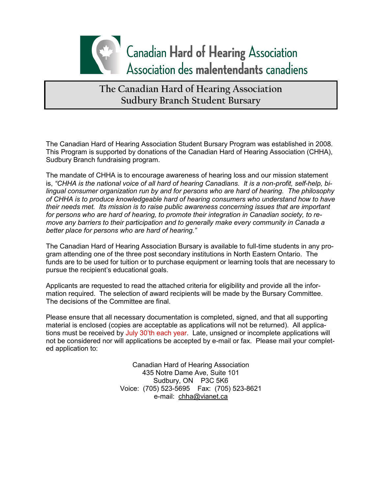

The Canadian Hard of Hearing Association Student Bursary Program was established in 2008. This Program is supported by donations of the Canadian Hard of Hearing Association (CHHA), Sudbury Branch fundraising program.

The mandate of CHHA is to encourage awareness of hearing loss and our mission statement is, *"CHHA is the national voice of all hard of hearing Canadians. It is a non-profit, self-help, bilingual consumer organization run by and for persons who are hard of hearing. The philosophy of CHHA is to produce knowledgeable hard of hearing consumers who understand how to have their needs met. Its mission is to raise public awareness concerning issues that are important for persons who are hard of hearing, to promote their integration in Canadian society, to remove any barriers to their participation and to generally make every community in Canada a better place for persons who are hard of hearing."*

The Canadian Hard of Hearing Association Bursary is available to full-time students in any program attending one of the three post secondary institutions in North Eastern Ontario. The funds are to be used for tuition or to purchase equipment or learning tools that are necessary to pursue the recipient's educational goals.

Applicants are requested to read the attached criteria for eligibility and provide all the information required. The selection of award recipients will be made by the Bursary Committee. The decisions of the Committee are final.

Please ensure that all necessary documentation is completed, signed, and that all supporting material is enclosed (copies are acceptable as applications will not be returned). All applications must be received by July 30'th each year. Late, unsigned or incomplete applications will not be considered nor will applications be accepted by e-mail or fax. Please mail your completed application to:

> Canadian Hard of Hearing Association 435 Notre Dame Ave, Suite 101 Sudbury, ON P3C 5K6 Voice: (705) 523-5695 Fax: (705) 523-8621 e-mail: chha@vianet.ca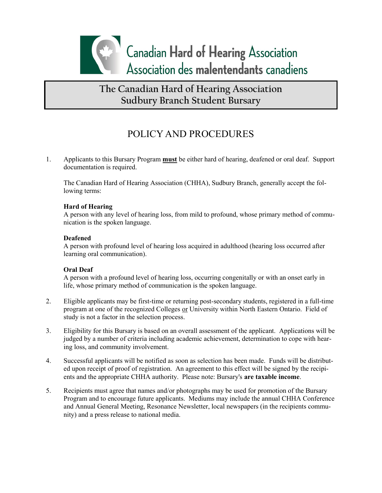

# POLICY AND PROCEDURES

1. Applicants to this Bursary Program **must** be either hard of hearing, deafened or oral deaf. Support documentation is required.

The Canadian Hard of Hearing Association (CHHA), Sudbury Branch, generally accept the following terms:

#### **Hard of Hearing**

A person with any level of hearing loss, from mild to profound, whose primary method of communication is the spoken language.

#### **Deafened**

A person with profound level of hearing loss acquired in adulthood (hearing loss occurred after learning oral communication).

#### **Oral Deaf**

A person with a profound level of hearing loss, occurring congenitally or with an onset early in life, whose primary method of communication is the spoken language.

- 2. Eligible applicants may be first-time or returning post-secondary students, registered in a full-time program at one of the recognized Colleges or University within North Eastern Ontario. Field of study is not a factor in the selection process.
- 3. Eligibility for this Bursary is based on an overall assessment of the applicant. Applications will be judged by a number of criteria including academic achievement, determination to cope with hearing loss, and community involvement.
- 4. Successful applicants will be notified as soon as selection has been made. Funds will be distributed upon receipt of proof of registration. An agreement to this effect will be signed by the recipients and the appropriate CHHA authority. Please note: Bursary's **are taxable income**.
- 5. Recipients must agree that names and/or photographs may be used for promotion of the Bursary Program and to encourage future applicants. Mediums may include the annual CHHA Conference and Annual General Meeting, Resonance Newsletter, local newspapers (in the recipients community) and a press release to national media.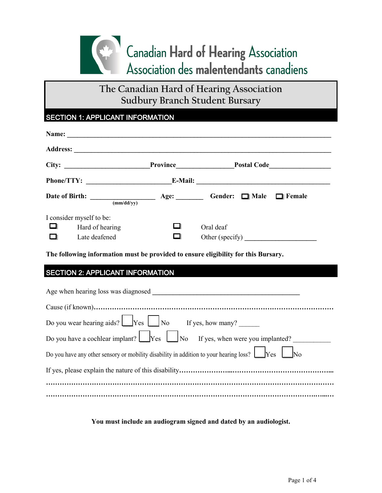

## SECTION 1: APPLICANT INFORMATION

| Date of Birth: $\frac{1}{(mm/dd/yy)}$ Age: $\frac{1}{(mm/dd/yy)}$ Gender: $\frac{1}{\Box}$ Male $\Box$ Female                                                                                                                 |                                                                         |  |
|-------------------------------------------------------------------------------------------------------------------------------------------------------------------------------------------------------------------------------|-------------------------------------------------------------------------|--|
| I consider myself to be:<br>Hard of hearing<br>Late deafened                                                                                                                                                                  | Oral deaf                                                               |  |
| The following information must be provided to ensure eligibility for this Bursary.                                                                                                                                            |                                                                         |  |
| <b>SECTION 2: APPLICANT INFORMATION</b>                                                                                                                                                                                       | <u> 1989 - Johann Barn, mars eta bizkailar eta bizkailar (h. 1989).</u> |  |
| Age when hearing loss was diagnosed and the state of the state of the state of the state of the state of the state of the state of the state of the state of the state of the state of the state of the state of the state of |                                                                         |  |
|                                                                                                                                                                                                                               |                                                                         |  |
| Do you wear hearing aids? $\boxed{\bigcup \text{Yes}}$ $\boxed{\bigcup \text{No}}$ If yes, how many?                                                                                                                          |                                                                         |  |
| Do you have a cochlear implant? $\Box$ Yes $\Box$ No If yes, when were you implanted? $\Box$                                                                                                                                  |                                                                         |  |
| Do you have any other sensory or mobility disability in addition to your hearing loss? $\Box$ Yes $\Box$ No                                                                                                                   |                                                                         |  |
|                                                                                                                                                                                                                               |                                                                         |  |
|                                                                                                                                                                                                                               |                                                                         |  |
|                                                                                                                                                                                                                               |                                                                         |  |

**You must include an audiogram signed and dated by an audiologist.**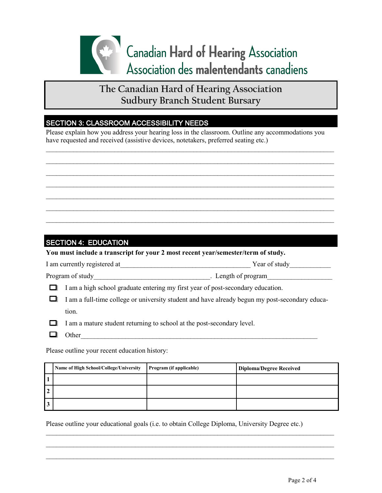

### SECTION 3: CLASSROOM ACCESSIBILITY NEEDS

Please explain how you address your hearing loss in the classroom. Outline any accommodations you have requested and received (assistive devices, notetakers, preferred seating etc.)

 $\mathcal{L}_\mathcal{L} = \{ \mathcal{L}_\mathcal{L} = \{ \mathcal{L}_\mathcal{L} = \{ \mathcal{L}_\mathcal{L} = \{ \mathcal{L}_\mathcal{L} = \{ \mathcal{L}_\mathcal{L} = \{ \mathcal{L}_\mathcal{L} = \{ \mathcal{L}_\mathcal{L} = \{ \mathcal{L}_\mathcal{L} = \{ \mathcal{L}_\mathcal{L} = \{ \mathcal{L}_\mathcal{L} = \{ \mathcal{L}_\mathcal{L} = \{ \mathcal{L}_\mathcal{L} = \{ \mathcal{L}_\mathcal{L} = \{ \mathcal{L}_\mathcal{$  $\_$  $\mathcal{L}_\mathcal{L} = \{ \mathcal{L}_\mathcal{L} = \{ \mathcal{L}_\mathcal{L} = \{ \mathcal{L}_\mathcal{L} = \{ \mathcal{L}_\mathcal{L} = \{ \mathcal{L}_\mathcal{L} = \{ \mathcal{L}_\mathcal{L} = \{ \mathcal{L}_\mathcal{L} = \{ \mathcal{L}_\mathcal{L} = \{ \mathcal{L}_\mathcal{L} = \{ \mathcal{L}_\mathcal{L} = \{ \mathcal{L}_\mathcal{L} = \{ \mathcal{L}_\mathcal{L} = \{ \mathcal{L}_\mathcal{L} = \{ \mathcal{L}_\mathcal{$  $\_$  $\mathcal{L}_\mathcal{L} = \{ \mathcal{L}_\mathcal{L} = \{ \mathcal{L}_\mathcal{L} = \{ \mathcal{L}_\mathcal{L} = \{ \mathcal{L}_\mathcal{L} = \{ \mathcal{L}_\mathcal{L} = \{ \mathcal{L}_\mathcal{L} = \{ \mathcal{L}_\mathcal{L} = \{ \mathcal{L}_\mathcal{L} = \{ \mathcal{L}_\mathcal{L} = \{ \mathcal{L}_\mathcal{L} = \{ \mathcal{L}_\mathcal{L} = \{ \mathcal{L}_\mathcal{L} = \{ \mathcal{L}_\mathcal{L} = \{ \mathcal{L}_\mathcal{$  $\mathcal{L}_\mathcal{L} = \{ \mathcal{L}_\mathcal{L} = \{ \mathcal{L}_\mathcal{L} = \{ \mathcal{L}_\mathcal{L} = \{ \mathcal{L}_\mathcal{L} = \{ \mathcal{L}_\mathcal{L} = \{ \mathcal{L}_\mathcal{L} = \{ \mathcal{L}_\mathcal{L} = \{ \mathcal{L}_\mathcal{L} = \{ \mathcal{L}_\mathcal{L} = \{ \mathcal{L}_\mathcal{L} = \{ \mathcal{L}_\mathcal{L} = \{ \mathcal{L}_\mathcal{L} = \{ \mathcal{L}_\mathcal{L} = \{ \mathcal{L}_\mathcal{$ 

## SECTION 4: EDUCATION

**You must include a transcript for your 2 most recent year/semester/term of study.**

| I am currently registered at<br>Year of study |
|-----------------------------------------------|
|-----------------------------------------------|

Program of study\_\_\_\_\_\_\_\_\_\_\_\_\_\_\_\_\_\_\_\_\_\_\_\_\_\_\_\_\_\_\_\_\_\_. Length of program\_\_\_\_\_\_\_\_\_\_\_\_\_\_\_\_\_\_\_

 $\Box$  I am a high school graduate entering my first year of post-secondary education.

I am a full-time college or university student and have already begun my post-secondary education.

 $\Box$  I am a mature student returning to school at the post-secondary level.

Other

Please outline your recent education history:

|                | Name of High School/College/University | Program (if applicable) | <b>Diploma/Degree Received</b> |
|----------------|----------------------------------------|-------------------------|--------------------------------|
|                |                                        |                         |                                |
| $\overline{2}$ |                                        |                         |                                |
| 3              |                                        |                         |                                |

 $\_$  $\mathcal{L}_\mathcal{L} = \{ \mathcal{L}_\mathcal{L} = \{ \mathcal{L}_\mathcal{L} = \{ \mathcal{L}_\mathcal{L} = \{ \mathcal{L}_\mathcal{L} = \{ \mathcal{L}_\mathcal{L} = \{ \mathcal{L}_\mathcal{L} = \{ \mathcal{L}_\mathcal{L} = \{ \mathcal{L}_\mathcal{L} = \{ \mathcal{L}_\mathcal{L} = \{ \mathcal{L}_\mathcal{L} = \{ \mathcal{L}_\mathcal{L} = \{ \mathcal{L}_\mathcal{L} = \{ \mathcal{L}_\mathcal{L} = \{ \mathcal{L}_\mathcal{$  $\_$ 

Please outline your educational goals (i.e. to obtain College Diploma, University Degree etc.)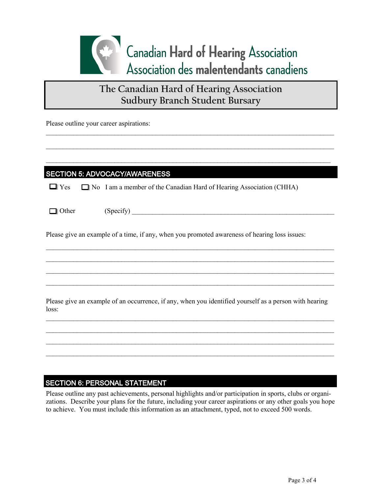

 $\mathcal{L}_\mathcal{L} = \{ \mathcal{L}_\mathcal{L} = \{ \mathcal{L}_\mathcal{L} = \{ \mathcal{L}_\mathcal{L} = \{ \mathcal{L}_\mathcal{L} = \{ \mathcal{L}_\mathcal{L} = \{ \mathcal{L}_\mathcal{L} = \{ \mathcal{L}_\mathcal{L} = \{ \mathcal{L}_\mathcal{L} = \{ \mathcal{L}_\mathcal{L} = \{ \mathcal{L}_\mathcal{L} = \{ \mathcal{L}_\mathcal{L} = \{ \mathcal{L}_\mathcal{L} = \{ \mathcal{L}_\mathcal{L} = \{ \mathcal{L}_\mathcal{$ 

 $\mathcal{L}_\mathcal{L} = \{ \mathcal{L}_\mathcal{L} = \{ \mathcal{L}_\mathcal{L} = \{ \mathcal{L}_\mathcal{L} = \{ \mathcal{L}_\mathcal{L} = \{ \mathcal{L}_\mathcal{L} = \{ \mathcal{L}_\mathcal{L} = \{ \mathcal{L}_\mathcal{L} = \{ \mathcal{L}_\mathcal{L} = \{ \mathcal{L}_\mathcal{L} = \{ \mathcal{L}_\mathcal{L} = \{ \mathcal{L}_\mathcal{L} = \{ \mathcal{L}_\mathcal{L} = \{ \mathcal{L}_\mathcal{L} = \{ \mathcal{L}_\mathcal{$ 

 $\mathcal{L}_\mathcal{L} = \{ \mathcal{L}_\mathcal{L} = \{ \mathcal{L}_\mathcal{L} = \{ \mathcal{L}_\mathcal{L} = \{ \mathcal{L}_\mathcal{L} = \{ \mathcal{L}_\mathcal{L} = \{ \mathcal{L}_\mathcal{L} = \{ \mathcal{L}_\mathcal{L} = \{ \mathcal{L}_\mathcal{L} = \{ \mathcal{L}_\mathcal{L} = \{ \mathcal{L}_\mathcal{L} = \{ \mathcal{L}_\mathcal{L} = \{ \mathcal{L}_\mathcal{L} = \{ \mathcal{L}_\mathcal{L} = \{ \mathcal{L}_\mathcal{$ 

Please outline your career aspirations:

### SECTION 5: ADVOCACY/AWARENESS

| $\Box$ Yes |  | → ■ No I am a member of the Canadian Hard of Hearing Association (CHHA) |  |
|------------|--|-------------------------------------------------------------------------|--|
|------------|--|-------------------------------------------------------------------------|--|

 $\Box$  Other (Specify)

Please give an example of a time, if any, when you promoted awareness of hearing loss issues:

Please give an example of an occurrence, if any, when you identified yourself as a person with hearing loss:

 $\mathcal{L}_\mathcal{L} = \{ \mathcal{L}_\mathcal{L} = \{ \mathcal{L}_\mathcal{L} = \{ \mathcal{L}_\mathcal{L} = \{ \mathcal{L}_\mathcal{L} = \{ \mathcal{L}_\mathcal{L} = \{ \mathcal{L}_\mathcal{L} = \{ \mathcal{L}_\mathcal{L} = \{ \mathcal{L}_\mathcal{L} = \{ \mathcal{L}_\mathcal{L} = \{ \mathcal{L}_\mathcal{L} = \{ \mathcal{L}_\mathcal{L} = \{ \mathcal{L}_\mathcal{L} = \{ \mathcal{L}_\mathcal{L} = \{ \mathcal{L}_\mathcal{$  $\_$  $\mathcal{L}_\mathcal{L} = \{ \mathcal{L}_\mathcal{L} = \{ \mathcal{L}_\mathcal{L} = \{ \mathcal{L}_\mathcal{L} = \{ \mathcal{L}_\mathcal{L} = \{ \mathcal{L}_\mathcal{L} = \{ \mathcal{L}_\mathcal{L} = \{ \mathcal{L}_\mathcal{L} = \{ \mathcal{L}_\mathcal{L} = \{ \mathcal{L}_\mathcal{L} = \{ \mathcal{L}_\mathcal{L} = \{ \mathcal{L}_\mathcal{L} = \{ \mathcal{L}_\mathcal{L} = \{ \mathcal{L}_\mathcal{L} = \{ \mathcal{L}_\mathcal{$  $\_$ 

 $\mathcal{L}_\mathcal{L} = \{ \mathcal{L}_\mathcal{L} = \{ \mathcal{L}_\mathcal{L} = \{ \mathcal{L}_\mathcal{L} = \{ \mathcal{L}_\mathcal{L} = \{ \mathcal{L}_\mathcal{L} = \{ \mathcal{L}_\mathcal{L} = \{ \mathcal{L}_\mathcal{L} = \{ \mathcal{L}_\mathcal{L} = \{ \mathcal{L}_\mathcal{L} = \{ \mathcal{L}_\mathcal{L} = \{ \mathcal{L}_\mathcal{L} = \{ \mathcal{L}_\mathcal{L} = \{ \mathcal{L}_\mathcal{L} = \{ \mathcal{L}_\mathcal{$  $\mathcal{L}_\mathcal{L} = \{ \mathcal{L}_\mathcal{L} = \{ \mathcal{L}_\mathcal{L} = \{ \mathcal{L}_\mathcal{L} = \{ \mathcal{L}_\mathcal{L} = \{ \mathcal{L}_\mathcal{L} = \{ \mathcal{L}_\mathcal{L} = \{ \mathcal{L}_\mathcal{L} = \{ \mathcal{L}_\mathcal{L} = \{ \mathcal{L}_\mathcal{L} = \{ \mathcal{L}_\mathcal{L} = \{ \mathcal{L}_\mathcal{L} = \{ \mathcal{L}_\mathcal{L} = \{ \mathcal{L}_\mathcal{L} = \{ \mathcal{L}_\mathcal{$ 

### SECTION 6: PERSONAL STATEMENT

Please outline any past achievements, personal highlights and/or participation in sports, clubs or organizations. Describe your plans for the future, including your career aspirations or any other goals you hope to achieve. You must include this information as an attachment, typed, not to exceed 500 words.